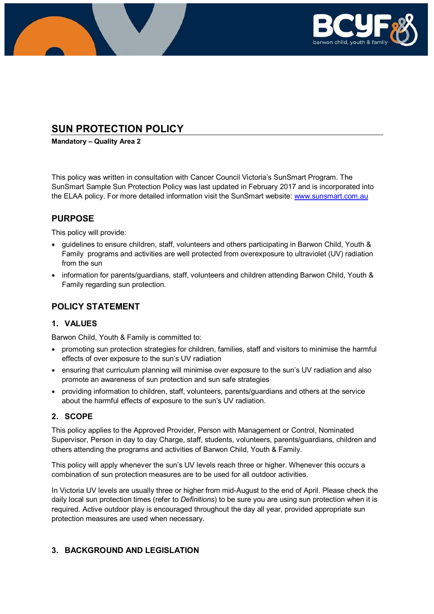

# **SUN PROTECTION POLICY**

**Mandatory – Quality Area 2**

This policy was written in consultation with Cancer Council Victoria's SunSmart Program. The SunSmart Sample Sun Protection Policy was last updated in February 2017 and is incorporated into the ELAA policy. For more detailed information visit the SunSmart website: [www.sunsmart.com.au](http://www.sunsmart.com.au/)

## **PURPOSE**

This policy will provide:

- guidelines to ensure children, staff, volunteers and others participating in Barwon Child, Youth & Family programs and activities are well protected from overexposure to ultraviolet (UV) radiation from the sun
- information for parents/guardians, staff, volunteers and children attending Barwon Child, Youth & Family regarding sun protection.

# **POLICY STATEMENT**

## **1. VALUES**

Barwon Child, Youth & Family is committed to:

- promoting sun protection strategies for children, families, staff and visitors to minimise the harmful effects of over exposure to the sun's UV radiation
- ensuring that curriculum planning will minimise over exposure to the sun's UV radiation and also promote an awareness of sun protection and sun safe strategies
- providing information to children, staff, volunteers, parents/guardians and others at the service about the harmful effects of exposure to the sun's UV radiation.

## **2. SCOPE**

This policy applies to the Approved Provider, Person with Management or Control, Nominated Supervisor, Person in day to day Charge, staff, students, volunteers, parents/guardians, children and others attending the programs and activities of Barwon Child, Youth & Family.

This policy will apply whenever the sun's UV levels reach three or higher. Whenever this occurs a combination of sun protection measures are to be used for all outdoor activities.

In Victoria UV levels are usually three or higher from mid-August to the end of April. Please check the daily local sun protection times (refer to *Definitions*) to be sure you are using sun protection when it is required. Active outdoor play is encouraged throughout the day all year, provided appropriate sun protection measures are used when necessary.

## **3. BACKGROUND AND LEGISLATION**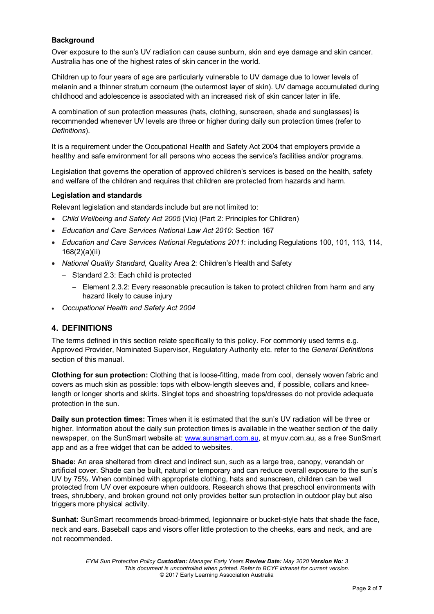### **Background**

Over exposure to the sun's UV radiation can cause sunburn, skin and eye damage and skin cancer. Australia has one of the highest rates of skin cancer in the world.

Children up to four years of age are particularly vulnerable to UV damage due to lower levels of melanin and a thinner stratum corneum (the outermost layer of skin). UV damage accumulated during childhood and adolescence is associated with an increased risk of skin cancer later in life.

A combination of sun protection measures (hats, clothing, sunscreen, shade and sunglasses) is recommended whenever UV levels are three or higher during daily sun protection times (refer to *Definitions*).

It is a requirement under the Occupational Health and Safety Act 2004 that employers provide a healthy and safe environment for all persons who access the service's facilities and/or programs.

Legislation that governs the operation of approved children's services is based on the health, safety and welfare of the children and requires that children are protected from hazards and harm.

#### **Legislation and standards**

Relevant legislation and standards include but are not limited to:

- *Child Wellbeing and Safety Act 2005* (Vic) (Part 2: Principles for Children)
- *Education and Care Services National Law Act 2010*: Section 167
- *Education and Care Services National Regulations 2011*: including Regulations 100, 101, 113, 114, 168(2)(a)(ii)
- *National Quality Standard,* Quality Area 2: Children's Health and Safety
	- − Standard 2.3: Each child is protected
		- − Element 2.3.2: Every reasonable precaution is taken to protect children from harm and any hazard likely to cause injury
- *Occupational Health and Safety Act 2004*

### **4. DEFINITIONS**

The terms defined in this section relate specifically to this policy. For commonly used terms e.g. Approved Provider, Nominated Supervisor, Regulatory Authority etc. refer to the *General Definitions* section of this manual.

**Clothing for sun protection:** Clothing that is loose-fitting, made from cool, densely woven fabric and covers as much skin as possible: tops with elbow-length sleeves and, if possible, collars and kneelength or longer shorts and skirts. Singlet tops and shoestring tops/dresses do not provide adequate protection in the sun.

**Daily sun protection times:** Times when it is estimated that the sun's UV radiation will be three or higher. Information about the daily sun protection times is available in the weather section of the daily newspaper, on the SunSmart website at: [www.sunsmart.com.au,](http://www.sunsmart.com.au/) at myuv.com.au, as a free SunSmart app and as a free widget that can be added to websites.

**Shade:** An area sheltered from direct and indirect sun, such as a large tree, canopy, verandah or artificial cover. Shade can be built, natural or temporary and can reduce overall exposure to the sun's UV by 75%. When combined with appropriate clothing, hats and sunscreen, children can be well protected from UV over exposure when outdoors. Research shows that preschool environments with trees, shrubbery, and broken ground not only provides better sun protection in outdoor play but also triggers more physical activity.

**Sunhat:** SunSmart recommends broad-brimmed, legionnaire or bucket-style hats that shade the face, neck and ears. Baseball caps and visors offer little protection to the cheeks, ears and neck, and are not recommended.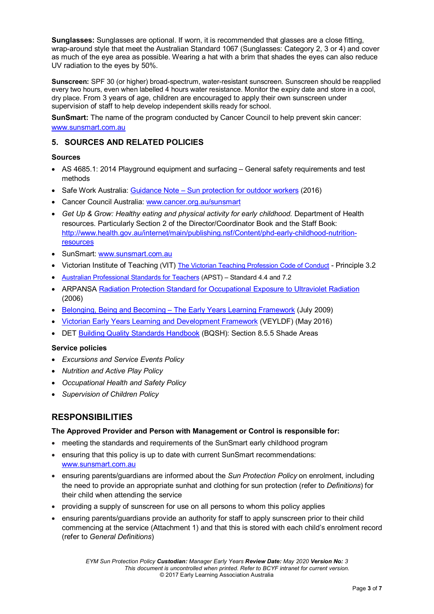**Sunglasses:** Sunglasses are optional. If worn, it is recommended that glasses are a close fitting, wrap-around style that meet the Australian Standard 1067 (Sunglasses: Category 2, 3 or 4) and cover as much of the eye area as possible. Wearing a hat with a brim that shades the eyes can also reduce UV radiation to the eyes by 50%.

**Sunscreen:** SPF 30 (or higher) broad-spectrum, water-resistant sunscreen. Sunscreen should be reapplied every two hours, even when labelled 4 hours water resistance. Monitor the expiry date and store in a cool, dry place. From 3 years of age, children are encouraged to apply their own sunscreen under supervision of staff to help develop independent skills ready for school.

**SunSmart:** The name of the program conducted by Cancer Council to help prevent skin cancer: [www.sunsmart.com.au](http://www.sunsmart.com.au/)

## **5. SOURCES AND RELATED POLICIES**

### **Sources**

- AS 4685.1: 2014 Playground equipment and surfacing General safety requirements and test methods
- Safe Work Australia: Guidance Note [Sun protection for outdoor workers](https://www.worksafe.vic.gov.au/__data/assets/pdf_file/0012/198687/WorkSafe_WSV17410108.16_FactSheet_final.pdf) (2016)
- Cancer Council Australia: [www.cancer.org.au/sunsmart](http://www.cancer.org.au/sunsmart)
- *Get Up & Grow: Healthy eating and physical activity for early childhood.* Department of Health resources. Particularly Section 2 of the Director/Coordinator Book and the Staff Book: [http://www.health.gov.au/internet/main/publishing.nsf/Content/phd-early-childhood-nutrition](http://www.health.gov.au/internet/main/publishing.nsf/Content/phd-early-childhood-nutrition-resources)**[resources](http://www.health.gov.au/internet/main/publishing.nsf/Content/phd-early-childhood-nutrition-resources)**
- SunSmart: [www.sunsmart.com.au](http://www.sunsmart.com.au/)
- Victorian Institute of Teaching (VIT) [The Victorian Teaching Profession Code of Conduct](http://www.vit.vic.edu.au/__data/assets/pdf_file/0018/35604/Code-of-Conduct-2016.pdf) Principle 3.2
- [Australian Professional Standards for Teachers](http://www.vit.vic.edu.au/__data/assets/pdf_file/0005/38678/Opportunities-for-demonstrating-the-APST-through-Inquiry-approach.pdf) (APST) Standard 4.4 and 7.2
- ARPANSA [Radiation Protection Standard for Occupational Exposure to Ultraviolet Radiation](http://www.arpansa.gov.au/pubs/rps/rps12.pdf) (2006)
- Belonging, Being and Becoming [The Early Years Learning Framework](https://www.education.gov.au/early-years-learning-framework) (July 2009)
- [Victorian Early Years Learning and Development Framework](http://www.education.vic.gov.au/childhood/providers/edcare/pages/veyladf.aspx?Redirect=1) (VEYLDF) (May 2016)
- DET [Building Quality Standards Handbook](http://www.education.vic.gov.au/school/principals/spag/infrastructure/Documents/BuildingQualityStandardsHandbook(Oct2011).pdf) (BQSH): Section 8.5.5 Shade Areas

#### **Service policies**

- *Excursions and Service Events Policy*
- *Nutrition and Active Play Policy*
- *Occupational Health and Safety Policy*
- *Supervision of Children Policy*

### **RESPONSIBILITIES**

#### **The Approved Provider and Person with Management or Control is responsible for:**

- meeting the standards and requirements of the SunSmart early childhood program
- ensuring that this policy is up to date with current SunSmart recommendations: [www.sunsmart.com.au](http://www.sunsmart.com.au/)
- ensuring parents/guardians are informed about the *Sun Protection Policy* on enrolment, including the need to provide an appropriate sunhat and clothing for sun protection (refer to *Definitions*) for their child when attending the service
- providing a supply of sunscreen for use on all persons to whom this policy applies
- ensuring parents/guardians provide an authority for staff to apply sunscreen prior to their child commencing at the service (Attachment 1) and that this is stored with each child's enrolment record (refer to *General Definitions*)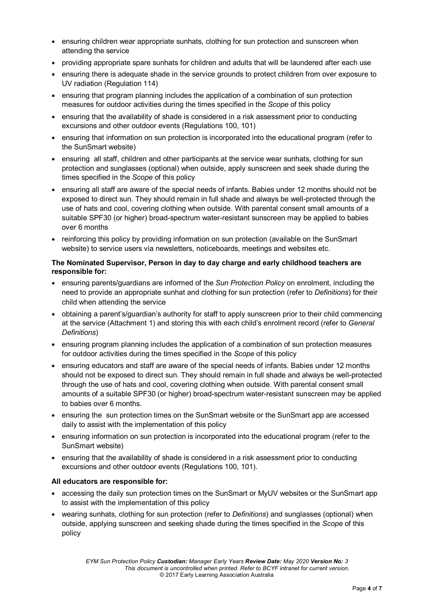- ensuring children wear appropriate sunhats, clothing for sun protection and sunscreen when attending the service
- providing appropriate spare sunhats for children and adults that will be laundered after each use
- ensuring there is adequate shade in the service grounds to protect children from over exposure to UV radiation (Regulation 114)
- ensuring that program planning includes the application of a combination of sun protection measures for outdoor activities during the times specified in the *Scope* of this policy
- ensuring that the availability of shade is considered in a risk assessment prior to conducting excursions and other outdoor events (Regulations 100, 101)
- ensuring that information on sun protection is incorporated into the educational program (refer to the SunSmart website)
- ensuring all staff, children and other participants at the service wear sunhats, clothing for sun protection and sunglasses (optional) when outside, apply sunscreen and seek shade during the times specified in the *Scope* of this policy
- ensuring all staff are aware of the special needs of infants. Babies under 12 months should not be exposed to direct sun. They should remain in full shade and always be well-protected through the use of hats and cool, covering clothing when outside. With parental consent small amounts of a suitable SPF30 (or higher) broad-spectrum water-resistant sunscreen may be applied to babies over 6 months
- reinforcing this policy by providing information on sun protection (available on the SunSmart website) to service users via newsletters, noticeboards, meetings and websites etc.

#### **The Nominated Supervisor, Person in day to day charge and early childhood teachers are responsible for:**

- ensuring parents/guardians are informed of the *Sun Protection Policy* on enrolment, including the need to provide an appropriate sunhat and clothing for sun protection (refer to *Definitions*) for their child when attending the service
- obtaining a parent's/guardian's authority for staff to apply sunscreen prior to their child commencing at the service (Attachment 1) and storing this with each child's enrolment record (refer to *General Definitions*)
- ensuring program planning includes the application of a combination of sun protection measures for outdoor activities during the times specified in the *Scope* of this policy
- ensuring educators and staff are aware of the special needs of infants. Babies under 12 months should not be exposed to direct sun. They should remain in full shade and always be well-protected through the use of hats and cool, covering clothing when outside. With parental consent small amounts of a suitable SPF30 (or higher) broad-spectrum water-resistant sunscreen may be applied to babies over 6 months.
- ensuring the sun protection times on the SunSmart website or the SunSmart app are accessed daily to assist with the implementation of this policy
- ensuring information on sun protection is incorporated into the educational program (refer to the SunSmart website)
- ensuring that the availability of shade is considered in a risk assessment prior to conducting excursions and other outdoor events (Regulations 100, 101).

#### **All educators are responsible for:**

- accessing the daily sun protection times on the SunSmart or MyUV websites or the SunSmart app to assist with the implementation of this policy
- wearing sunhats, clothing for sun protection (refer to *Definitions*) and sunglasses (optional) when outside, applying sunscreen and seeking shade during the times specified in the *Scope* of this policy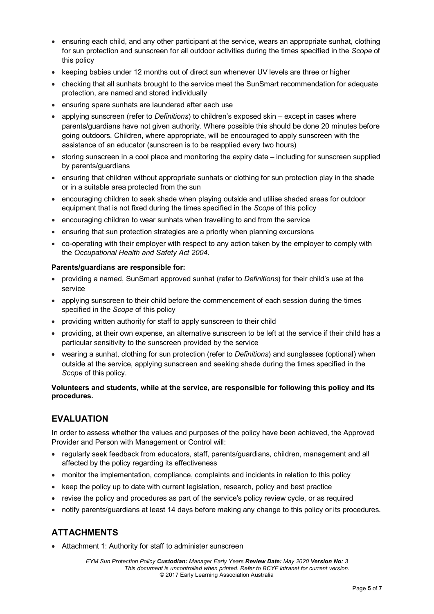- ensuring each child, and any other participant at the service, wears an appropriate sunhat, clothing for sun protection and sunscreen for all outdoor activities during the times specified in the *Scope* of this policy
- keeping babies under 12 months out of direct sun whenever UV levels are three or higher
- checking that all sunhats brought to the service meet the SunSmart recommendation for adequate protection, are named and stored individually
- ensuring spare sunhats are laundered after each use
- applying sunscreen (refer to *Definitions*) to children's exposed skin except in cases where parents/guardians have not given authority. Where possible this should be done 20 minutes before going outdoors. Children, where appropriate, will be encouraged to apply sunscreen with the assistance of an educator (sunscreen is to be reapplied every two hours)
- storing sunscreen in a cool place and monitoring the expiry date including for sunscreen supplied by parents/guardians
- ensuring that children without appropriate sunhats or clothing for sun protection play in the shade or in a suitable area protected from the sun
- encouraging children to seek shade when playing outside and utilise shaded areas for outdoor equipment that is not fixed during the times specified in the *Scope* of this policy
- encouraging children to wear sunhats when travelling to and from the service
- ensuring that sun protection strategies are a priority when planning excursions
- co-operating with their employer with respect to any action taken by the employer to comply with the *Occupational Health and Safety Act 2004*.

#### **Parents/guardians are responsible for:**

- providing a named, SunSmart approved sunhat (refer to *Definitions*) for their child's use at the service
- applying sunscreen to their child before the commencement of each session during the times specified in the *Scope* of this policy
- providing written authority for staff to apply sunscreen to their child
- providing, at their own expense, an alternative sunscreen to be left at the service if their child has a particular sensitivity to the sunscreen provided by the service
- wearing a sunhat, clothing for sun protection (refer to *Definitions*) and sunglasses (optional) when outside at the service, applying sunscreen and seeking shade during the times specified in the *Scope* of this policy.

#### **Volunteers and students, while at the service, are responsible for following this policy and its procedures.**

### **EVALUATION**

In order to assess whether the values and purposes of the policy have been achieved, the Approved Provider and Person with Management or Control will:

- regularly seek feedback from educators, staff, parents/guardians, children, management and all affected by the policy regarding its effectiveness
- monitor the implementation, compliance, complaints and incidents in relation to this policy
- keep the policy up to date with current legislation, research, policy and best practice
- revise the policy and procedures as part of the service's policy review cycle, or as required
- notify parents/guardians at least 14 days before making any change to this policy or its procedures.

# **ATTACHMENTS**

• Attachment 1: Authority for staff to administer sunscreen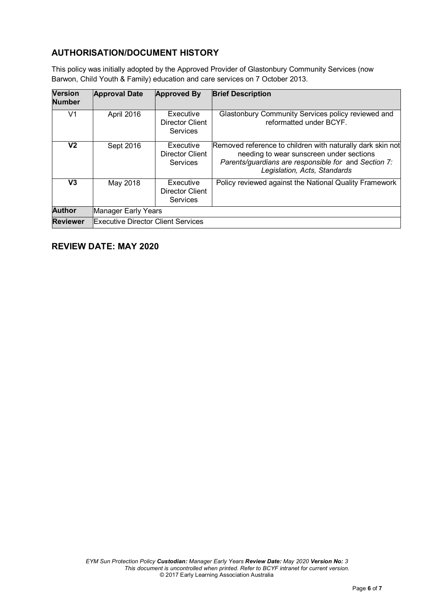# **AUTHORISATION/DOCUMENT HISTORY**

This policy was initially adopted by the Approved Provider of Glastonbury Community Services (now Barwon, Child Youth & Family) education and care services on 7 October 2013.

| <b>Version</b><br><b>Number</b> | <b>Approval Date</b>                      | <b>Approved By</b>                              | <b>Brief Description</b>                                                                                                                                                                       |
|---------------------------------|-------------------------------------------|-------------------------------------------------|------------------------------------------------------------------------------------------------------------------------------------------------------------------------------------------------|
| V1                              | April 2016                                | Executive<br>Director Client<br><b>Services</b> | Glastonbury Community Services policy reviewed and<br>reformatted under BCYF.                                                                                                                  |
| V2                              | Sept 2016                                 | Executive<br>Director Client<br><b>Services</b> | Removed reference to children with naturally dark skin not<br>needing to wear sunscreen under sections<br>Parents/guardians are responsible for and Section 7:<br>Legislation, Acts, Standards |
| V3                              | May 2018                                  | Executive<br>Director Client<br>Services        | Policy reviewed against the National Quality Framework                                                                                                                                         |
| <b>Author</b>                   | Manager Early Years                       |                                                 |                                                                                                                                                                                                |
| <b>Reviewer</b>                 | <b>Executive Director Client Services</b> |                                                 |                                                                                                                                                                                                |

# **REVIEW DATE: MAY 2020**